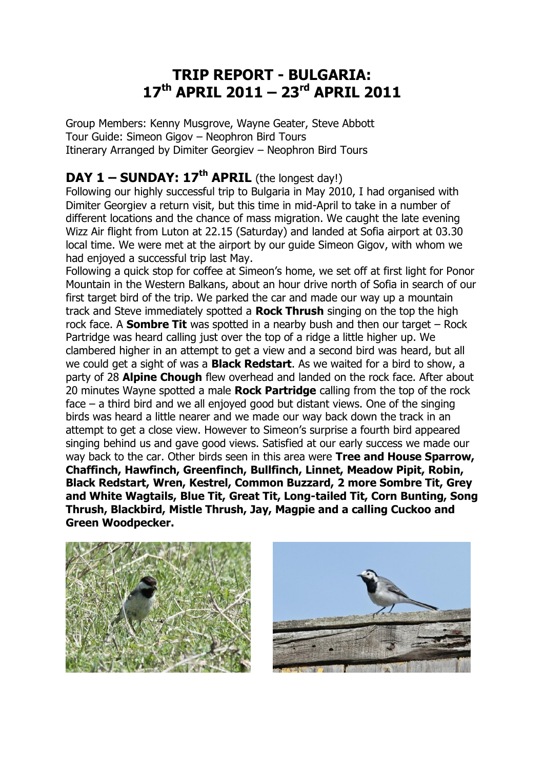## **TRIP REPORT - BULGARIA: 17th APRIL 2011 – 23rd APRIL 2011**

Group Members: Kenny Musgrove, Wayne Geater, Steve Abbott Tour Guide: Simeon Gigov – Neophron Bird Tours Itinerary Arranged by Dimiter Georgiev – Neophron Bird Tours

#### **DAY 1 – SUNDAY: 17th APRIL** (the longest day!)

Following our highly successful trip to Bulgaria in May 2010, I had organised with Dimiter Georgiev a return visit, but this time in mid-April to take in a number of different locations and the chance of mass migration. We caught the late evening Wizz Air flight from Luton at 22.15 (Saturday) and landed at Sofia airport at 03.30 local time. We were met at the airport by our guide Simeon Gigov, with whom we had enjoyed a successful trip last May.

Following a quick stop for coffee at Simeon's home, we set off at first light for Ponor Mountain in the Western Balkans, about an hour drive north of Sofia in search of our first target bird of the trip. We parked the car and made our way up a mountain track and Steve immediately spotted a **Rock Thrush** singing on the top the high rock face. A **Sombre Tit** was spotted in a nearby bush and then our target – Rock Partridge was heard calling just over the top of a ridge a little higher up. We clambered higher in an attempt to get a view and a second bird was heard, but all we could get a sight of was a **Black Redstart**. As we waited for a bird to show, a party of 28 **Alpine Chough** flew overhead and landed on the rock face. After about 20 minutes Wayne spotted a male **Rock Partridge** calling from the top of the rock face – a third bird and we all enjoyed good but distant views. One of the singing birds was heard a little nearer and we made our way back down the track in an attempt to get a close view. However to Simeon's surprise a fourth bird appeared singing behind us and gave good views. Satisfied at our early success we made our way back to the car. Other birds seen in this area were **Tree and House Sparrow, Chaffinch, Hawfinch, Greenfinch, Bullfinch, Linnet, Meadow Pipit, Robin, Black Redstart, Wren, Kestrel, Common Buzzard, 2 more Sombre Tit, Grey and White Wagtails, Blue Tit, Great Tit, Long-tailed Tit, Corn Bunting, Song Thrush, Blackbird, Mistle Thrush, Jay, Magpie and a calling Cuckoo and Green Woodpecker.**



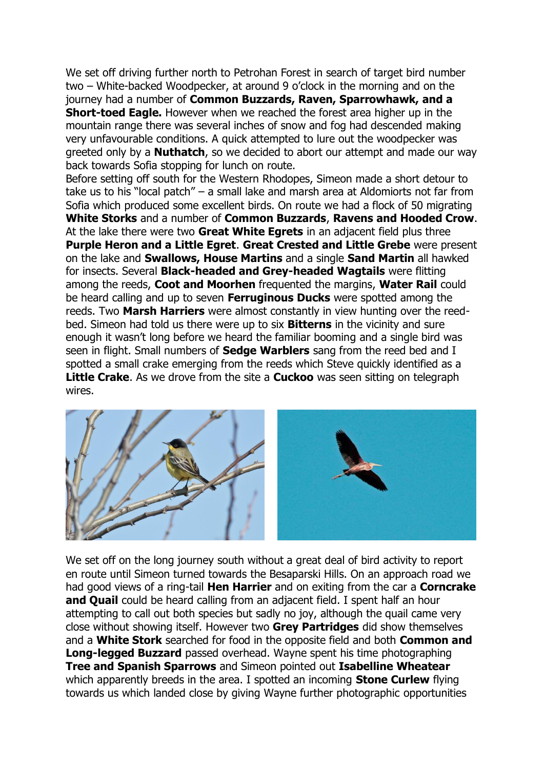We set off driving further north to Petrohan Forest in search of target bird number two – White-backed Woodpecker, at around 9 o'clock in the morning and on the journey had a number of **Common Buzzards, Raven, Sparrowhawk, and a Short-toed Eagle.** However when we reached the forest area higher up in the mountain range there was several inches of snow and fog had descended making very unfavourable conditions. A quick attempted to lure out the woodpecker was greeted only by a **Nuthatch**, so we decided to abort our attempt and made our way back towards Sofia stopping for lunch on route.

Before setting off south for the Western Rhodopes, Simeon made a short detour to take us to his "local patch" – a small lake and marsh area at Aldomiorts not far from Sofia which produced some excellent birds. On route we had a flock of 50 migrating **White Storks** and a number of **Common Buzzards**, **Ravens and Hooded Crow**. At the lake there were two **Great White Egrets** in an adjacent field plus three **Purple Heron and a Little Egret**. **Great Crested and Little Grebe** were present on the lake and **Swallows, House Martins** and a single **Sand Martin** all hawked for insects. Several **Black-headed and Grey-headed Wagtails** were flitting among the reeds, **Coot and Moorhen** frequented the margins, **Water Rail** could be heard calling and up to seven **Ferruginous Ducks** were spotted among the reeds. Two **Marsh Harriers** were almost constantly in view hunting over the reedbed. Simeon had told us there were up to six **Bitterns** in the vicinity and sure enough it wasn't long before we heard the familiar booming and a single bird was seen in flight. Small numbers of **Sedge Warblers** sang from the reed bed and I spotted a small crake emerging from the reeds which Steve quickly identified as a **Little Crake**. As we drove from the site a **Cuckoo** was seen sitting on telegraph wires.



We set off on the long journey south without a great deal of bird activity to report en route until Simeon turned towards the Besaparski Hills. On an approach road we had good views of a ring-tail **Hen Harrier** and on exiting from the car a **Corncrake and Quail** could be heard calling from an adjacent field. I spent half an hour attempting to call out both species but sadly no joy, although the quail came very close without showing itself. However two **Grey Partridges** did show themselves and a **White Stork** searched for food in the opposite field and both **Common and Long-legged Buzzard** passed overhead. Wayne spent his time photographing **Tree and Spanish Sparrows** and Simeon pointed out **Isabelline Wheatear** which apparently breeds in the area. I spotted an incoming **Stone Curlew** flying towards us which landed close by giving Wayne further photographic opportunities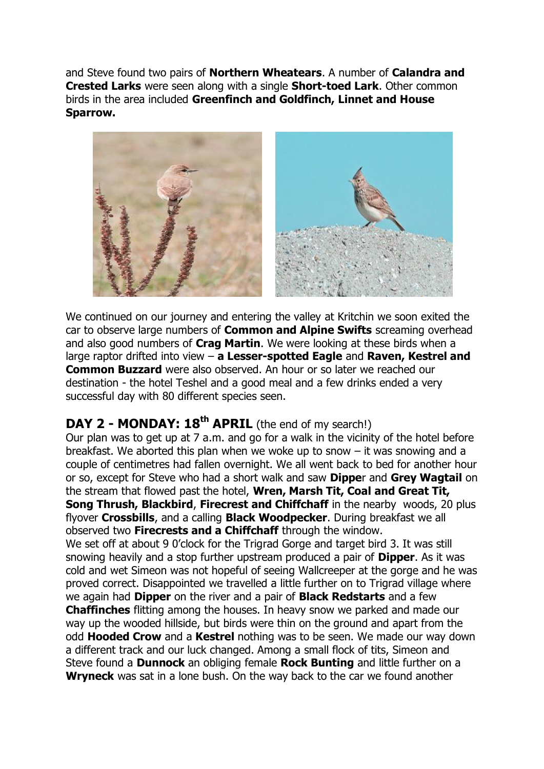and Steve found two pairs of **Northern Wheatears**. A number of **Calandra and Crested Larks** were seen along with a single **Short-toed Lark**. Other common birds in the area included **Greenfinch and Goldfinch, Linnet and House Sparrow.**



We continued on our journey and entering the valley at Kritchin we soon exited the car to observe large numbers of **Common and Alpine Swifts** screaming overhead and also good numbers of **Crag Martin**. We were looking at these birds when a large raptor drifted into view – **a Lesser-spotted Eagle** and **Raven, Kestrel and Common Buzzard** were also observed. An hour or so later we reached our destination - the hotel Teshel and a good meal and a few drinks ended a very successful day with 80 different species seen.

### **DAY 2 - MONDAY: 18th APRIL** (the end of my search!)

Our plan was to get up at 7 a.m. and go for a walk in the vicinity of the hotel before breakfast. We aborted this plan when we woke up to snow – it was snowing and a couple of centimetres had fallen overnight. We all went back to bed for another hour or so, except for Steve who had a short walk and saw **Dippe**r and **Grey Wagtail** on the stream that flowed past the hotel, **Wren, Marsh Tit, Coal and Great Tit, Song Thrush, Blackbird, Firecrest and Chiffchaff** in the nearby woods, 20 plus flyover **Crossbills**, and a calling **Black Woodpecker**. During breakfast we all observed two **Firecrests and a Chiffchaff** through the window.

We set off at about 9 0'clock for the Trigrad Gorge and target bird 3. It was still snowing heavily and a stop further upstream produced a pair of **Dipper**. As it was cold and wet Simeon was not hopeful of seeing Wallcreeper at the gorge and he was proved correct. Disappointed we travelled a little further on to Trigrad village where we again had **Dipper** on the river and a pair of **Black Redstarts** and a few **Chaffinches** flitting among the houses. In heavy snow we parked and made our way up the wooded hillside, but birds were thin on the ground and apart from the odd **Hooded Crow** and a **Kestrel** nothing was to be seen. We made our way down a different track and our luck changed. Among a small flock of tits, Simeon and Steve found a **Dunnock** an obliging female **Rock Bunting** and little further on a **Wryneck** was sat in a lone bush. On the way back to the car we found another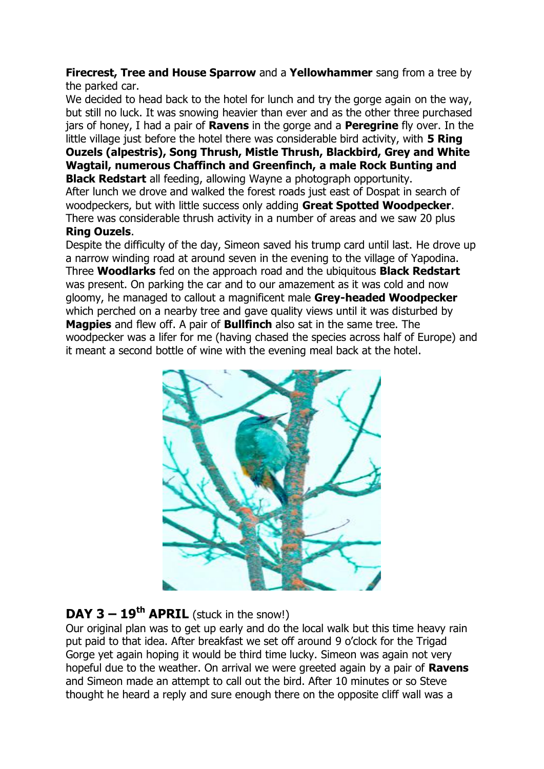#### **Firecrest, Tree and House Sparrow** and a **Yellowhammer** sang from a tree by the parked car.

We decided to head back to the hotel for lunch and try the gorge again on the way, but still no luck. It was snowing heavier than ever and as the other three purchased jars of honey, I had a pair of **Ravens** in the gorge and a **Peregrine** fly over. In the little village just before the hotel there was considerable bird activity, with **5 Ring Ouzels (alpestris), Song Thrush, Mistle Thrush, Blackbird, Grey and White Wagtail, numerous Chaffinch and Greenfinch, a male Rock Bunting and Black Redstart** all feeding, allowing Wayne a photograph opportunity.

After lunch we drove and walked the forest roads just east of Dospat in search of woodpeckers, but with little success only adding **Great Spotted Woodpecker**. There was considerable thrush activity in a number of areas and we saw 20 plus **Ring Ouzels**.

Despite the difficulty of the day, Simeon saved his trump card until last. He drove up a narrow winding road at around seven in the evening to the village of Yapodina. Three **Woodlarks** fed on the approach road and the ubiquitous **Black Redstart** was present. On parking the car and to our amazement as it was cold and now gloomy, he managed to callout a magnificent male **Grey-headed Woodpecker** which perched on a nearby tree and gave quality views until it was disturbed by **Magpies** and flew off. A pair of **Bullfinch** also sat in the same tree. The woodpecker was a lifer for me (having chased the species across half of Europe) and it meant a second bottle of wine with the evening meal back at the hotel.



#### **DAY 3 – 19<sup>th</sup> APRIL** (stuck in the snow!)

Our original plan was to get up early and do the local walk but this time heavy rain put paid to that idea. After breakfast we set off around 9 o'clock for the Trigad Gorge yet again hoping it would be third time lucky. Simeon was again not very hopeful due to the weather. On arrival we were greeted again by a pair of **Ravens** and Simeon made an attempt to call out the bird. After 10 minutes or so Steve thought he heard a reply and sure enough there on the opposite cliff wall was a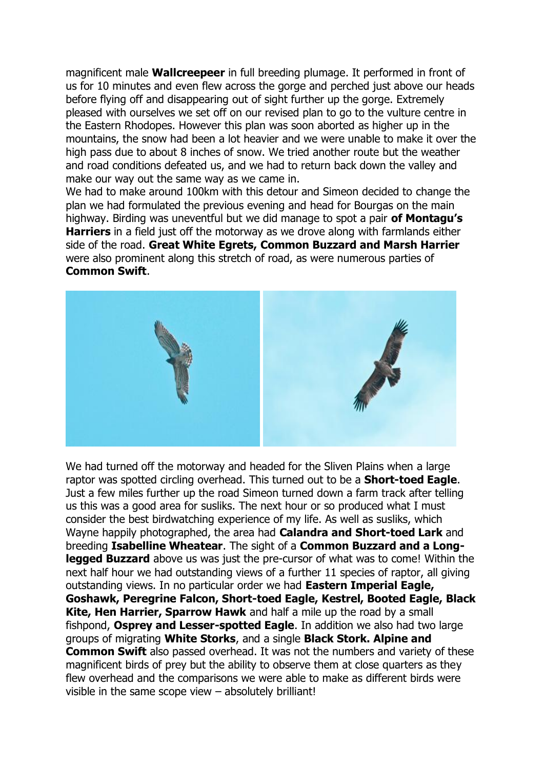magnificent male **Wallcreepeer** in full breeding plumage. It performed in front of us for 10 minutes and even flew across the gorge and perched just above our heads before flying off and disappearing out of sight further up the gorge. Extremely pleased with ourselves we set off on our revised plan to go to the vulture centre in the Eastern Rhodopes. However this plan was soon aborted as higher up in the mountains, the snow had been a lot heavier and we were unable to make it over the high pass due to about 8 inches of snow. We tried another route but the weather and road conditions defeated us, and we had to return back down the valley and make our way out the same way as we came in.

We had to make around 100km with this detour and Simeon decided to change the plan we had formulated the previous evening and head for Bourgas on the main highway. Birding was uneventful but we did manage to spot a pair **of Montagu's Harriers** in a field just off the motorway as we drove along with farmlands either side of the road. **Great White Egrets, Common Buzzard and Marsh Harrier** were also prominent along this stretch of road, as were numerous parties of **Common Swift**.



We had turned off the motorway and headed for the Sliven Plains when a large raptor was spotted circling overhead. This turned out to be a **Short-toed Eagle**. Just a few miles further up the road Simeon turned down a farm track after telling us this was a good area for susliks. The next hour or so produced what I must consider the best birdwatching experience of my life. As well as susliks, which Wayne happily photographed, the area had **Calandra and Short-toed Lark** and breeding **Isabelline Wheatear**. The sight of a **Common Buzzard and a Longlegged Buzzard** above us was just the pre-cursor of what was to come! Within the next half hour we had outstanding views of a further 11 species of raptor, all giving outstanding views. In no particular order we had **Eastern Imperial Eagle, Goshawk, Peregrine Falcon, Short-toed Eagle, Kestrel, Booted Eagle, Black Kite, Hen Harrier, Sparrow Hawk** and half a mile up the road by a small fishpond, **Osprey and Lesser-spotted Eagle**. In addition we also had two large groups of migrating **White Storks**, and a single **Black Stork. Alpine and Common Swift** also passed overhead. It was not the numbers and variety of these magnificent birds of prey but the ability to observe them at close quarters as they flew overhead and the comparisons we were able to make as different birds were visible in the same scope view – absolutely brilliant!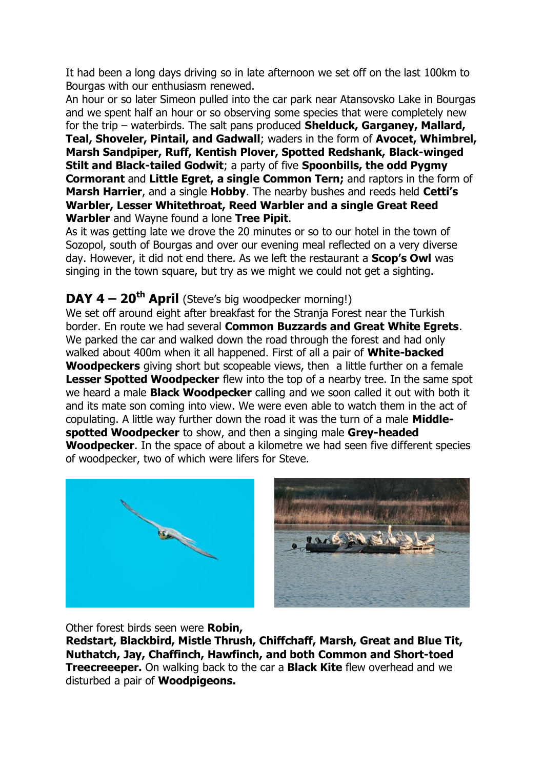It had been a long days driving so in late afternoon we set off on the last 100km to Bourgas with our enthusiasm renewed.

An hour or so later Simeon pulled into the car park near Atansovsko Lake in Bourgas and we spent half an hour or so observing some species that were completely new for the trip – waterbirds. The salt pans produced **Shelduck, Garganey, Mallard, Teal, Shoveler, Pintail, and Gadwall**; waders in the form of **Avocet, Whimbrel, Marsh Sandpiper, Ruff, Kentish Plover, Spotted Redshank, Black-winged Stilt and Black-tailed Godwit**; a party of five **Spoonbills, the odd Pygmy Cormorant** and **Little Egret, a single Common Tern;** and raptors in the form of **Marsh Harrier**, and a single **Hobby**. The nearby bushes and reeds held **Cetti's Warbler, Lesser Whitethroat, Reed Warbler and a single Great Reed Warbler** and Wayne found a lone **Tree Pipit**.

As it was getting late we drove the 20 minutes or so to our hotel in the town of Sozopol, south of Bourgas and over our evening meal reflected on a very diverse day. However, it did not end there. As we left the restaurant a **Scop's Owl** was singing in the town square, but try as we might we could not get a sighting.

#### **DAY 4 – 20th April** (Steve's big woodpecker morning!)

We set off around eight after breakfast for the Stranja Forest near the Turkish border. En route we had several **Common Buzzards and Great White Egrets**. We parked the car and walked down the road through the forest and had only walked about 400m when it all happened. First of all a pair of **White-backed Woodpeckers** giving short but scopeable views, then a little further on a female **Lesser Spotted Woodpecker** flew into the top of a nearby tree. In the same spot we heard a male **Black Woodpecker** calling and we soon called it out with both it and its mate son coming into view. We were even able to watch them in the act of copulating. A little way further down the road it was the turn of a male **Middlespotted Woodpecker** to show, and then a singing male **Grey-headed Woodpecker**. In the space of about a kilometre we had seen five different species of woodpecker, two of which were lifers for Steve.





Other forest birds seen were **Robin,** 

**Redstart, Blackbird, Mistle Thrush, Chiffchaff, Marsh, Great and Blue Tit, Nuthatch, Jay, Chaffinch, Hawfinch, and both Common and Short-toed Treecreeeper.** On walking back to the car a **Black Kite** flew overhead and we disturbed a pair of **Woodpigeons.**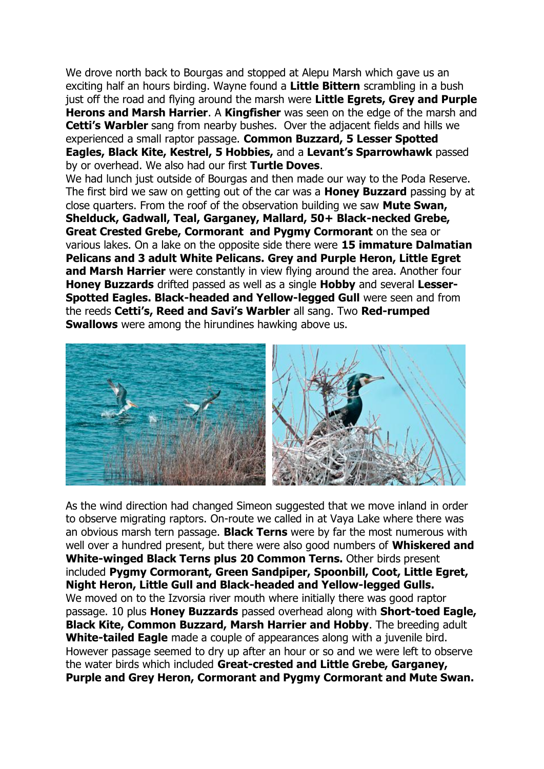We drove north back to Bourgas and stopped at Alepu Marsh which gave us an exciting half an hours birding. Wayne found a **Little Bittern** scrambling in a bush just off the road and flying around the marsh were **Little Egrets, Grey and Purple Herons and Marsh Harrier**. A **Kingfisher** was seen on the edge of the marsh and **Cetti's Warbler** sang from nearby bushes. Over the adjacent fields and hills we experienced a small raptor passage. **Common Buzzard, 5 Lesser Spotted Eagles, Black Kite, Kestrel, 5 Hobbies,** and a **Levant's Sparrowhawk** passed by or overhead. We also had our first **Turtle Doves**.

We had lunch just outside of Bourgas and then made our way to the Poda Reserve. The first bird we saw on getting out of the car was a **Honey Buzzard** passing by at close quarters. From the roof of the observation building we saw **Mute Swan, Shelduck, Gadwall, Teal, Garganey, Mallard, 50+ Black-necked Grebe, Great Crested Grebe, Cormorant and Pygmy Cormorant** on the sea or various lakes. On a lake on the opposite side there were **15 immature Dalmatian Pelicans and 3 adult White Pelicans. Grey and Purple Heron, Little Egret and Marsh Harrier** were constantly in view flying around the area. Another four **Honey Buzzards** drifted passed as well as a single **Hobby** and several **Lesser-Spotted Eagles. Black-headed and Yellow-legged Gull** were seen and from the reeds **Cetti's, Reed and Savi's Warbler** all sang. Two **Red-rumped Swallows** were among the hirundines hawking above us.



As the wind direction had changed Simeon suggested that we move inland in order to observe migrating raptors. On-route we called in at Vaya Lake where there was an obvious marsh tern passage. **Black Terns** were by far the most numerous with well over a hundred present, but there were also good numbers of **Whiskered and White-winged Black Terns plus 20 Common Terns.** Other birds present included **Pygmy Cormorant, Green Sandpiper, Spoonbill, Coot, Little Egret, Night Heron, Little Gull and Black-headed and Yellow-legged Gulls.** We moved on to the Izvorsia river mouth where initially there was good raptor passage. 10 plus **Honey Buzzards** passed overhead along with **Short-toed Eagle, Black Kite, Common Buzzard, Marsh Harrier and Hobby**. The breeding adult **White-tailed Eagle** made a couple of appearances along with a juvenile bird. However passage seemed to dry up after an hour or so and we were left to observe the water birds which included **Great-crested and Little Grebe, Garganey, Purple and Grey Heron, Cormorant and Pygmy Cormorant and Mute Swan.**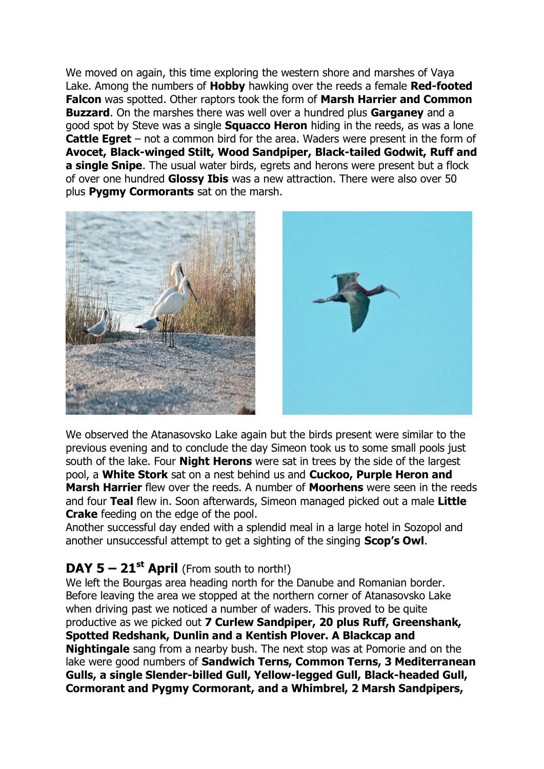We moved on again, this time exploring the western shore and marshes of Vaya Lake. Among the numbers of **Hobby** hawking over the reeds a female **Red-footed Falcon** was spotted. Other raptors took the form of **Marsh Harrier and Common Buzzard**. On the marshes there was well over a hundred plus **Garganey** and a good spot by Steve was a single **Squacco Heron** hiding in the reeds, as was a lone **Cattle Egret** – not a common bird for the area. Waders were present in the form of **Avocet, Black-winged Stilt, Wood Sandpiper, Black-tailed Godwit, Ruff and a single Snipe**. The usual water birds, egrets and herons were present but a flock of over one hundred **Glossy Ibis** was a new attraction. There were also over 50 plus **Pygmy Cormorants** sat on the marsh.





We observed the Atanasovsko Lake again but the birds present were similar to the previous evening and to conclude the day Simeon took us to some small pools just south of the lake. Four **Night Herons** were sat in trees by the side of the largest pool, a **White Stork** sat on a nest behind us and **Cuckoo, Purple Heron and Marsh Harrier** flew over the reeds. A number of **Moorhens** were seen in the reeds and four **Teal** flew in. Soon afterwards, Simeon managed picked out a male **Little Crake** feeding on the edge of the pool.

Another successful day ended with a splendid meal in a large hotel in Sozopol and another unsuccessful attempt to get a sighting of the singing **Scop's Owl**.

## **DAY 5 – 21st April** (From south to north!)

We left the Bourgas area heading north for the Danube and Romanian border. Before leaving the area we stopped at the northern corner of Atanasovsko Lake when driving past we noticed a number of waders. This proved to be quite productive as we picked out **7 Curlew Sandpiper, 20 plus Ruff, Greenshank, Spotted Redshank, Dunlin and a Kentish Plover. A Blackcap and Nightingale** sang from a nearby bush. The next stop was at Pomorie and on the lake were good numbers of **Sandwich Terns, Common Terns, 3 Mediterranean Gulls, a single Slender-billed Gull, Yellow-legged Gull, Black-headed Gull, Cormorant and Pygmy Cormorant, and a Whimbrel, 2 Marsh Sandpipers,**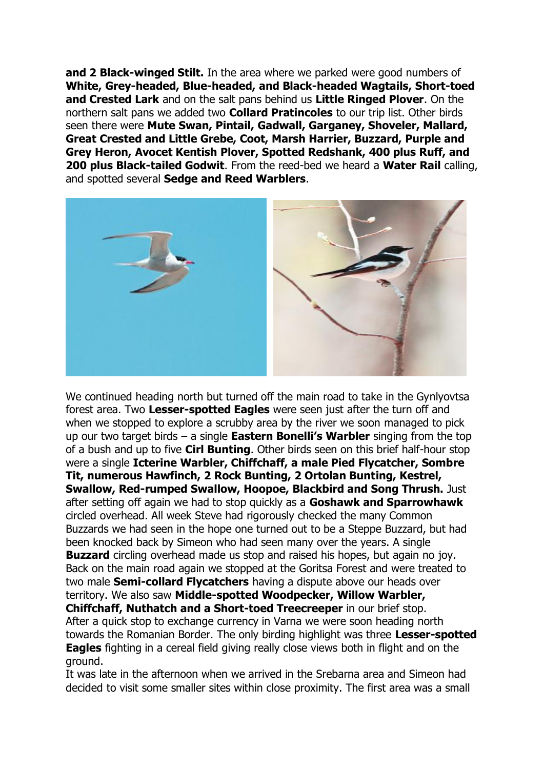**and 2 Black-winged Stilt.** In the area where we parked were good numbers of **White, Grey-headed, Blue-headed, and Black-headed Wagtails, Short-toed and Crested Lark** and on the salt pans behind us **Little Ringed Plover**. On the northern salt pans we added two **Collard Pratincoles** to our trip list. Other birds seen there were **Mute Swan, Pintail, Gadwall, Garganey, Shoveler, Mallard, Great Crested and Little Grebe, Coot, Marsh Harrier, Buzzard, Purple and Grey Heron, Avocet Kentish Plover, Spotted Redshank, 400 plus Ruff, and 200 plus Black-tailed Godwit**. From the reed-bed we heard a **Water Rail** calling, and spotted several **Sedge and Reed Warblers**.



We continued heading north but turned off the main road to take in the Gynlyovtsa forest area. Two **Lesser-spotted Eagles** were seen just after the turn off and when we stopped to explore a scrubby area by the river we soon managed to pick up our two target birds – a single **Eastern Bonelli's Warbler** singing from the top of a bush and up to five **Cirl Bunting**. Other birds seen on this brief half-hour stop were a single **Icterine Warbler, Chiffchaff, a male Pied Flycatcher, Sombre Tit, numerous Hawfinch, 2 Rock Bunting, 2 Ortolan Bunting, Kestrel, Swallow, Red-rumped Swallow, Hoopoe, Blackbird and Song Thrush.** Just after setting off again we had to stop quickly as a **Goshawk and Sparrowhawk** circled overhead. All week Steve had rigorously checked the many Common Buzzards we had seen in the hope one turned out to be a Steppe Buzzard, but had been knocked back by Simeon who had seen many over the years. A single **Buzzard** circling overhead made us stop and raised his hopes, but again no joy. Back on the main road again we stopped at the Goritsa Forest and were treated to two male **Semi-collard Flycatchers** having a dispute above our heads over territory. We also saw **Middle-spotted Woodpecker, Willow Warbler, Chiffchaff, Nuthatch and a Short-toed Treecreeper** in our brief stop. After a quick stop to exchange currency in Varna we were soon heading north towards the Romanian Border. The only birding highlight was three **Lesser-spotted Eagles** fighting in a cereal field giving really close views both in flight and on the ground.

It was late in the afternoon when we arrived in the Srebarna area and Simeon had decided to visit some smaller sites within close proximity. The first area was a small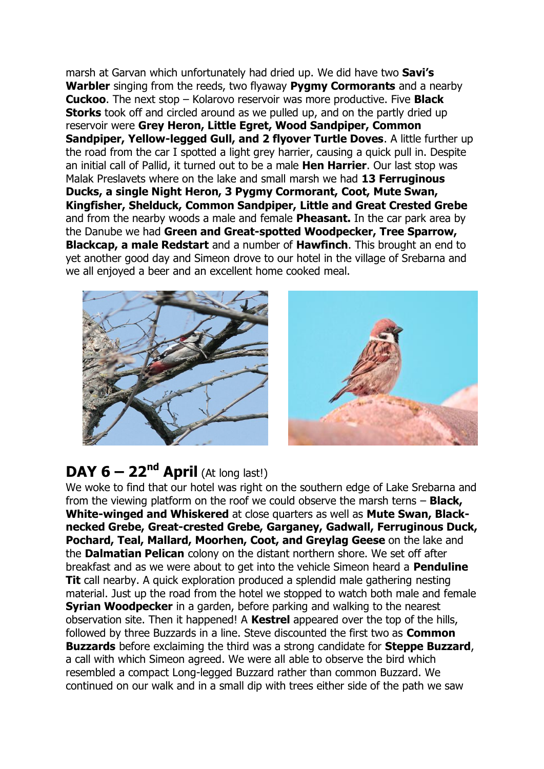marsh at Garvan which unfortunately had dried up. We did have two **Savi's Warbler** singing from the reeds, two flyaway **Pygmy Cormorants** and a nearby **Cuckoo**. The next stop – Kolarovo reservoir was more productive. Five **Black Storks** took off and circled around as we pulled up, and on the partly dried up reservoir were **Grey Heron, Little Egret, Wood Sandpiper, Common Sandpiper, Yellow-legged Gull, and 2 flyover Turtle Doves.** A little further up the road from the car I spotted a light grey harrier, causing a quick pull in. Despite an initial call of Pallid, it turned out to be a male **Hen Harrier**. Our last stop was Malak Preslavets where on the lake and small marsh we had **13 Ferruginous Ducks, a single Night Heron, 3 Pygmy Cormorant, Coot, Mute Swan, Kingfisher, Shelduck, Common Sandpiper, Little and Great Crested Grebe** and from the nearby woods a male and female **Pheasant.** In the car park area by the Danube we had **Green and Great-spotted Woodpecker, Tree Sparrow, Blackcap, a male Redstart** and a number of **Hawfinch**. This brought an end to yet another good day and Simeon drove to our hotel in the village of Srebarna and we all enjoyed a beer and an excellent home cooked meal.



## **DAY 6 – 22<sup>nd</sup> April** (At long last!)

We woke to find that our hotel was right on the southern edge of Lake Srebarna and from the viewing platform on the roof we could observe the marsh terns – **Black, White-winged and Whiskered** at close quarters as well as **Mute Swan, Blacknecked Grebe, Great-crested Grebe, Garganey, Gadwall, Ferruginous Duck, Pochard, Teal, Mallard, Moorhen, Coot, and Greylag Geese** on the lake and the **Dalmatian Pelican** colony on the distant northern shore. We set off after breakfast and as we were about to get into the vehicle Simeon heard a **Penduline Tit** call nearby. A quick exploration produced a splendid male gathering nesting material. Just up the road from the hotel we stopped to watch both male and female **Syrian Woodpecker** in a garden, before parking and walking to the nearest observation site. Then it happened! A **Kestrel** appeared over the top of the hills, followed by three Buzzards in a line. Steve discounted the first two as **Common Buzzards** before exclaiming the third was a strong candidate for **Steppe Buzzard**, a call with which Simeon agreed. We were all able to observe the bird which resembled a compact Long-legged Buzzard rather than common Buzzard. We continued on our walk and in a small dip with trees either side of the path we saw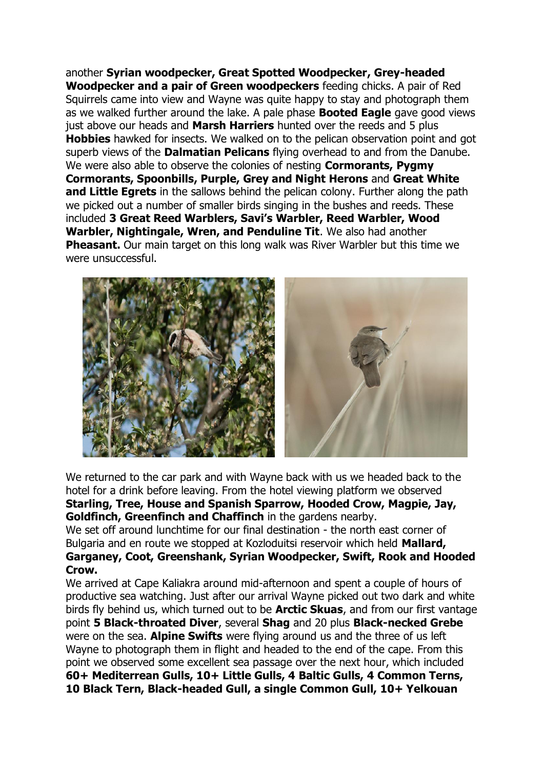another **Syrian woodpecker, Great Spotted Woodpecker, Grey-headed Woodpecker and a pair of Green woodpeckers** feeding chicks. A pair of Red Squirrels came into view and Wayne was quite happy to stay and photograph them as we walked further around the lake. A pale phase **Booted Eagle** gave good views just above our heads and **Marsh Harriers** hunted over the reeds and 5 plus **Hobbies** hawked for insects. We walked on to the pelican observation point and got superb views of the **Dalmatian Pelicans** flying overhead to and from the Danube. We were also able to observe the colonies of nesting **Cormorants, Pygmy Cormorants, Spoonbills, Purple, Grey and Night Herons** and **Great White and Little Egrets** in the sallows behind the pelican colony. Further along the path we picked out a number of smaller birds singing in the bushes and reeds. These included **3 Great Reed Warblers, Savi's Warbler, Reed Warbler, Wood Warbler, Nightingale, Wren, and Penduline Tit**. We also had another **Pheasant.** Our main target on this long walk was River Warbler but this time we were unsuccessful.



We returned to the car park and with Wayne back with us we headed back to the hotel for a drink before leaving. From the hotel viewing platform we observed **Starling, Tree, House and Spanish Sparrow, Hooded Crow, Magpie, Jay, Goldfinch, Greenfinch and Chaffinch** in the gardens nearby.

We set off around lunchtime for our final destination - the north east corner of Bulgaria and en route we stopped at Kozloduitsi reservoir which held **Mallard, Garganey, Coot, Greenshank, Syrian Woodpecker, Swift, Rook and Hooded Crow.**

We arrived at Cape Kaliakra around mid-afternoon and spent a couple of hours of productive sea watching. Just after our arrival Wayne picked out two dark and white birds fly behind us, which turned out to be **Arctic Skuas**, and from our first vantage point **5 Black-throated Diver**, several **Shag** and 20 plus **Black-necked Grebe** were on the sea. **Alpine Swifts** were flying around us and the three of us left Wayne to photograph them in flight and headed to the end of the cape. From this point we observed some excellent sea passage over the next hour, which included **60+ Mediterrean Gulls, 10+ Little Gulls, 4 Baltic Gulls, 4 Common Terns, 10 Black Tern, Black-headed Gull, a single Common Gull, 10+ Yelkouan**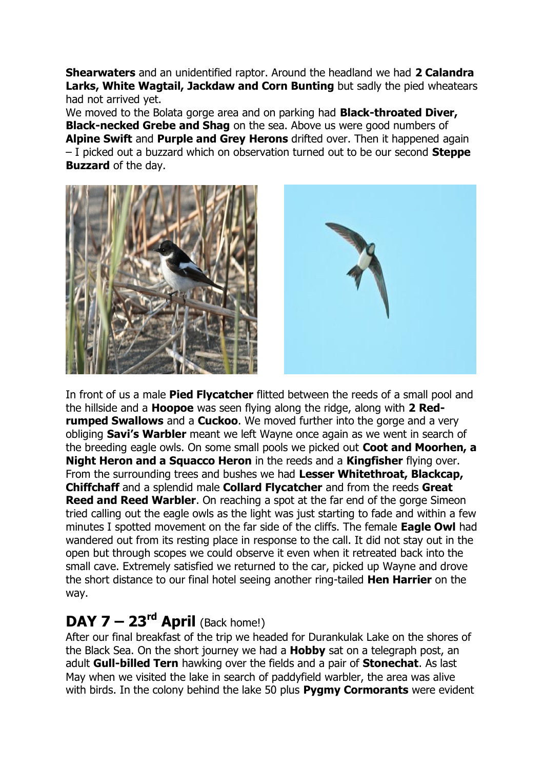**Shearwaters** and an unidentified raptor. Around the headland we had **2 Calandra Larks, White Wagtail, Jackdaw and Corn Bunting** but sadly the pied wheatears had not arrived yet.

We moved to the Bolata gorge area and on parking had **Black-throated Diver, Black-necked Grebe and Shag** on the sea. Above us were good numbers of **Alpine Swift** and **Purple and Grey Herons** drifted over. Then it happened again – I picked out a buzzard which on observation turned out to be our second **Steppe Buzzard** of the day.





In front of us a male **Pied Flycatcher** flitted between the reeds of a small pool and the hillside and a **Hoopoe** was seen flying along the ridge, along with **2 Redrumped Swallows** and a **Cuckoo**. We moved further into the gorge and a very obliging **Savi's Warbler** meant we left Wayne once again as we went in search of the breeding eagle owls. On some small pools we picked out **Coot and Moorhen, a Night Heron and a Squacco Heron** in the reeds and a **Kingfisher** flying over. From the surrounding trees and bushes we had **Lesser Whitethroat, Blackcap, Chiffchaff** and a splendid male **Collard Flycatcher** and from the reeds **Great Reed and Reed Warbler**. On reaching a spot at the far end of the gorge Simeon tried calling out the eagle owls as the light was just starting to fade and within a few minutes I spotted movement on the far side of the cliffs. The female **Eagle Owl** had wandered out from its resting place in response to the call. It did not stay out in the open but through scopes we could observe it even when it retreated back into the small cave. Extremely satisfied we returned to the car, picked up Wayne and drove the short distance to our final hotel seeing another ring-tailed **Hen Harrier** on the way.

## **DAY 7 – 23<sup>rd</sup> April** (Back home!)

After our final breakfast of the trip we headed for Durankulak Lake on the shores of the Black Sea. On the short journey we had a **Hobby** sat on a telegraph post, an adult **Gull-billed Tern** hawking over the fields and a pair of **Stonechat**. As last May when we visited the lake in search of paddyfield warbler, the area was alive with birds. In the colony behind the lake 50 plus **Pygmy Cormorants** were evident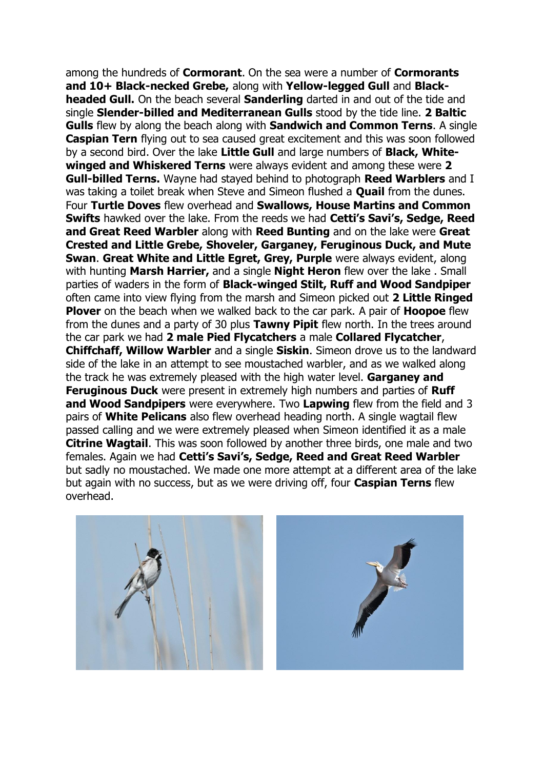among the hundreds of **Cormorant**. On the sea were a number of **Cormorants and 10+ Black-necked Grebe,** along with **Yellow-legged Gull** and **Blackheaded Gull.** On the beach several **Sanderling** darted in and out of the tide and single **Slender-billed and Mediterranean Gulls** stood by the tide line. **2 Baltic Gulls** flew by along the beach along with **Sandwich and Common Terns**. A single **Caspian Tern** flying out to sea caused great excitement and this was soon followed by a second bird. Over the lake **Little Gull** and large numbers of **Black, Whitewinged and Whiskered Terns** were always evident and among these were **2 Gull-billed Terns.** Wayne had stayed behind to photograph **Reed Warblers** and I was taking a toilet break when Steve and Simeon flushed a **Quail** from the dunes. Four **Turtle Doves** flew overhead and **Swallows, House Martins and Common Swifts** hawked over the lake. From the reeds we had **Cetti's Savi's, Sedge, Reed and Great Reed Warbler** along with **Reed Bunting** and on the lake were **Great Crested and Little Grebe, Shoveler, Garganey, Feruginous Duck, and Mute Swan. Great White and Little Egret, Grey, Purple** were always evident, along with hunting **Marsh Harrier,** and a single **Night Heron** flew over the lake . Small parties of waders in the form of **Black-winged Stilt, Ruff and Wood Sandpiper**  often came into view flying from the marsh and Simeon picked out **2 Little Ringed Plover** on the beach when we walked back to the car park. A pair of **Hoopoe** flew from the dunes and a party of 30 plus **Tawny Pipit** flew north. In the trees around the car park we had **2 male Pied Flycatchers** a male **Collared Flycatcher**, **Chiffchaff, Willow Warbler** and a single **Siskin**. Simeon drove us to the landward side of the lake in an attempt to see moustached warbler, and as we walked along the track he was extremely pleased with the high water level. **Garganey and Feruginous Duck** were present in extremely high numbers and parties of **Ruff and Wood Sandpipers** were everywhere. Two **Lapwing** flew from the field and 3 pairs of **White Pelicans** also flew overhead heading north. A single wagtail flew passed calling and we were extremely pleased when Simeon identified it as a male **Citrine Wagtail**. This was soon followed by another three birds, one male and two females. Again we had **Cetti's Savi's, Sedge, Reed and Great Reed Warbler** but sadly no moustached. We made one more attempt at a different area of the lake but again with no success, but as we were driving off, four **Caspian Terns** flew overhead.



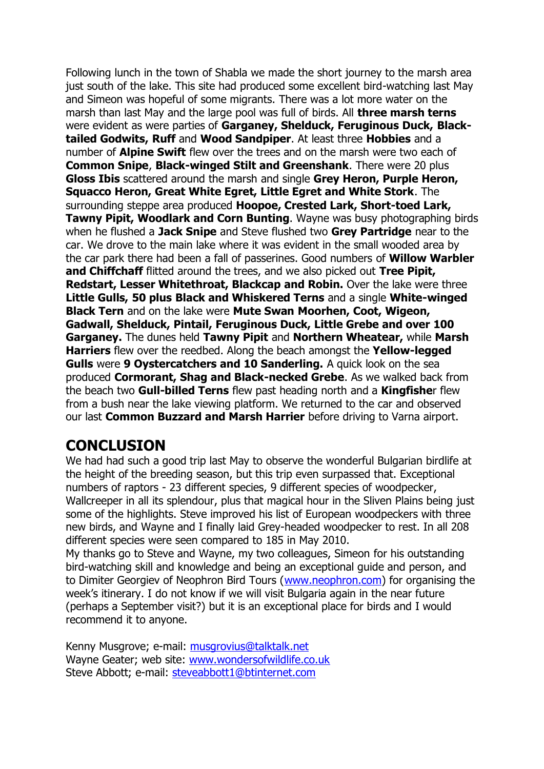Following lunch in the town of Shabla we made the short journey to the marsh area just south of the lake. This site had produced some excellent bird-watching last May and Simeon was hopeful of some migrants. There was a lot more water on the marsh than last May and the large pool was full of birds. All **three marsh terns** were evident as were parties of **Garganey, Shelduck, Feruginous Duck, Blacktailed Godwits, Ruff** and **Wood Sandpiper**. At least three **Hobbies** and a number of **Alpine Swift** flew over the trees and on the marsh were two each of **Common Snipe**, **Black-winged Stilt and Greenshank**. There were 20 plus **Gloss Ibis** scattered around the marsh and single **Grey Heron, Purple Heron, Squacco Heron, Great White Egret, Little Egret and White Stork**. The surrounding steppe area produced **Hoopoe, Crested Lark, Short-toed Lark, Tawny Pipit, Woodlark and Corn Bunting**. Wayne was busy photographing birds when he flushed a **Jack Snipe** and Steve flushed two **Grey Partridge** near to the car. We drove to the main lake where it was evident in the small wooded area by the car park there had been a fall of passerines. Good numbers of **Willow Warbler and Chiffchaff** flitted around the trees, and we also picked out **Tree Pipit, Redstart, Lesser Whitethroat, Blackcap and Robin.** Over the lake were three **Little Gulls, 50 plus Black and Whiskered Terns** and a single **White-winged Black Tern** and on the lake were **Mute Swan Moorhen, Coot, Wigeon, Gadwall, Shelduck, Pintail, Feruginous Duck, Little Grebe and over 100 Garganey.** The dunes held **Tawny Pipit** and **Northern Wheatear,** while **Marsh Harriers** flew over the reedbed. Along the beach amongst the **Yellow-legged Gulls** were **9 Oystercatchers and 10 Sanderling.** A quick look on the sea produced **Cormorant, Shag and Black-necked Grebe**. As we walked back from the beach two **Gull-billed Terns** flew past heading north and a **Kingfishe**r flew from a bush near the lake viewing platform. We returned to the car and observed our last **Common Buzzard and Marsh Harrier** before driving to Varna airport.

# **CONCLUSION**

We had had such a good trip last May to observe the wonderful Bulgarian birdlife at the height of the breeding season, but this trip even surpassed that. Exceptional numbers of raptors - 23 different species, 9 different species of woodpecker, Wallcreeper in all its splendour, plus that magical hour in the Sliven Plains being just some of the highlights. Steve improved his list of European woodpeckers with three new birds, and Wayne and I finally laid Grey-headed woodpecker to rest. In all 208 different species were seen compared to 185 in May 2010.

My thanks go to Steve and Wayne, my two colleagues, Simeon for his outstanding bird-watching skill and knowledge and being an exceptional guide and person, and to Dimiter Georgiev of Neophron Bird Tours [\(www.neophron.com\)](http://www.neophron.com/) for organising the week's itinerary. I do not know if we will visit Bulgaria again in the near future (perhaps a September visit?) but it is an exceptional place for birds and I would recommend it to anyone.

Kenny Musgrove; e-mail: [musgrovius@talktalk.net](mailto:musgrovius@talktalk.net) Wayne Geater; web site: [www.wondersofwildlife.co.uk](http://www.wondersofwildlife.co.uk/) Steve Abbott; e-mail: [steveabbott1@btinternet.com](mailto:steveabbott1@btinternet.com)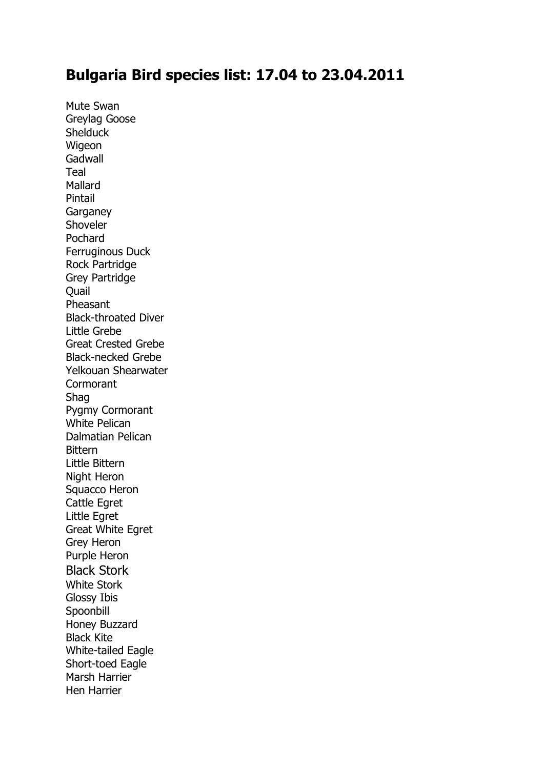### **Bulgaria Bird species list: 17.04 to 23.04.2011**

Mute Swan Greylag Goose **Shelduck** Wigeon **Gadwall** Teal Mallard Pintail **Garganey** Shoveler Pochard Ferruginous Duck Rock Partridge Grey Partridge **Ouail** Pheasant Black-throated Diver Little Grebe Great Crested Grebe Black-necked Grebe Yelkouan Shearwater **Cormorant** Shag Pygmy Cormorant White Pelican Dalmatian Pelican **Bittern** Little Bittern Night Heron Squacco Heron Cattle Egret Little Egret Great White Egret Grey Heron Purple Heron Black Stork White Stork Glossy Ibis Spoonbill Honey Buzzard Black Kite White-tailed Eagle Short-toed Eagle Marsh Harrier Hen Harrier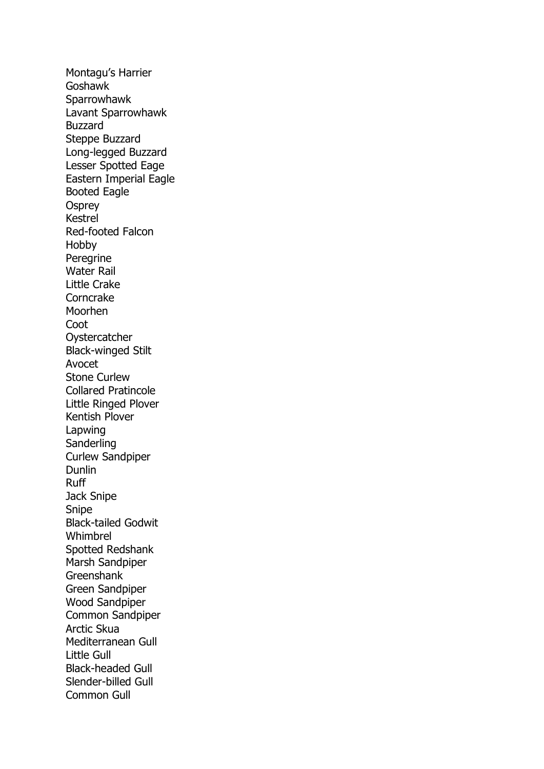Montagu's Harrier Goshawk **Sparrowhawk** Lavant Sparrowhawk Buzzard Steppe Buzzard Long-legged Buzzard Lesser Spotted Eage Eastern Imperial Eagle Booted Eagle **Osprey** Kestrel Red-footed Falcon Hobby Peregrine Water Rail Little Crake **Corncrake** Moorhen Coot **Oystercatcher** Black-winged Stilt Avocet Stone Curlew Collared Pratincole Little Ringed Plover Kentish Plover Lapwing **Sanderling** Curlew Sandpiper Dunlin Ruff Jack Snipe Snipe Black-tailed Godwit Whimbrel Spotted Redshank Marsh Sandpiper Greenshank Green Sandpiper Wood Sandpiper Common Sandpiper Arctic Skua Mediterranean Gull Little Gull Black-headed Gull Slender-billed Gull Common Gull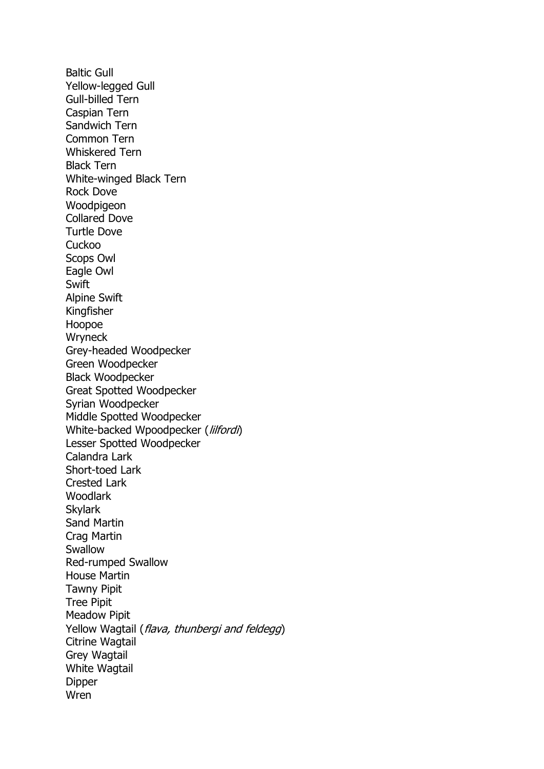Baltic Gull Yellow-legged Gull Gull-billed Tern Caspian Tern Sandwich Tern Common Tern Whiskered Tern Black Tern White-winged Black Tern Rock Dove **Woodpigeon** Collared Dove Turtle Dove **Cuckoo** Scops Owl Eagle Owl **Swift** Alpine Swift Kingfisher Hoopoe **Wryneck** Grey-headed Woodpecker Green Woodpecker Black Woodpecker Great Spotted Woodpecker Syrian Woodpecker Middle Spotted Woodpecker White-backed Wpoodpecker (lilfordi) Lesser Spotted Woodpecker Calandra Lark Short-toed Lark Crested Lark Woodlark Skylark Sand Martin Crag Martin Swallow Red-rumped Swallow House Martin Tawny Pipit Tree Pipit Meadow Pipit Yellow Wagtail (flava, thunbergi and feldegg) Citrine Wagtail Grey Wagtail White Wagtail Dipper Wren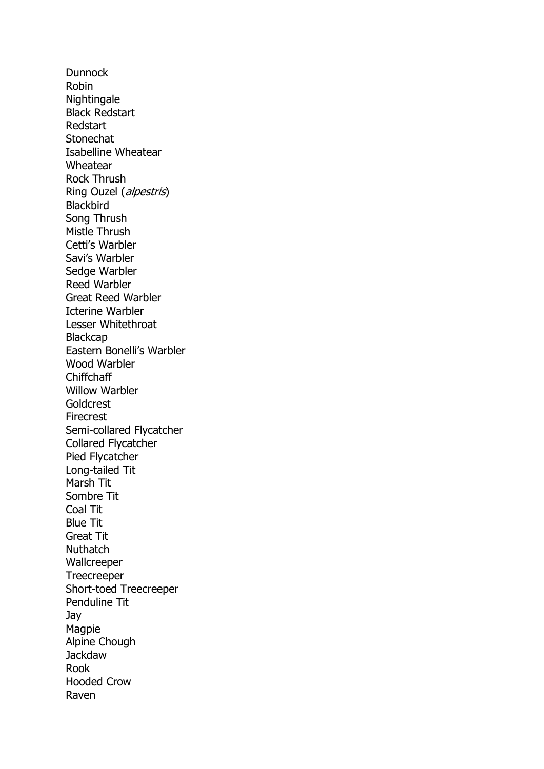**Dunnock** Robin Nightingale Black Redstart Redstart **Stonechat** Isabelline Wheatear Wheatear Rock Thrush Ring Ouzel (alpestris) **Blackbird** Song Thrush Mistle Thrush Cetti's Warbler Savi's Warbler Sedge Warbler Reed Warbler Great Reed Warbler Icterine Warbler Lesser Whitethroat **Blackcap** Eastern Bonelli's Warbler Wood Warbler Chiffchaff Willow Warbler **Goldcrest** Firecrest Semi-collared Flycatcher Collared Flycatcher Pied Flycatcher Long-tailed Tit Marsh Tit Sombre Tit Coal Tit Blue Tit Great Tit **Nuthatch** Wallcreeper **Treecreeper** Short-toed Treecreeper Penduline Tit Jay Magpie Alpine Chough Jackdaw Rook Hooded Crow Raven